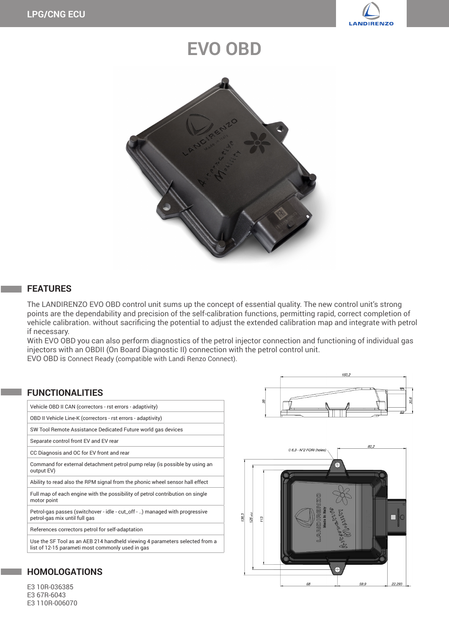

# **EVO OBD**



#### **FEATURES**

The LANDIRENZO EVO OBD control unit sums up the concept of essential quality. The new control unit's strong points are the dependability and precision of the self-calibration functions, permitting rapid, correct completion of vehicle calibration. without sacrificing the potential to adjust the extended calibration map and integrate with petrol if necessary.

With EVO OBD you can also perform diagnostics of the petrol injector connection and functioning of individual gas injectors with an OBDII (On Board Diagnostic II) connection with the petrol control unit. EVO OBD is Connect Ready (compatible with Landi Renzo Connect).

### Vehicle OBD II CAN (correctors - rst errors - adaptivity) OBD II Vehicle Line-K (correctors - rst errors - adaptivity) SW Tool Remote Assistance Dedicated Future world gas devices Separate control front EV and EV rear CC Diagnosis and OC for EV front and rear Command for external detachment petrol pump relay (is possible by using an output EV) Ability to read also the RPM signal from the phonic wheel sensor hall effect Full map of each engine with the possibility of petrol contribution on single motor point Petrol-gas passes (switchover - idle - cut\_off - ..) managed with progressive petrol-gas mix until full gas References correctors petrol for self-adaptation Use the SF Tool as an AEB 214 handheld viewing 4 parameters selected from a list of 12-15 parameti most commonly used in gas **FUNCTIONALITIES**





## **HOMOLOGATIONS**

E3 10R-036385 E3 67R-6043 E3 110R-006070